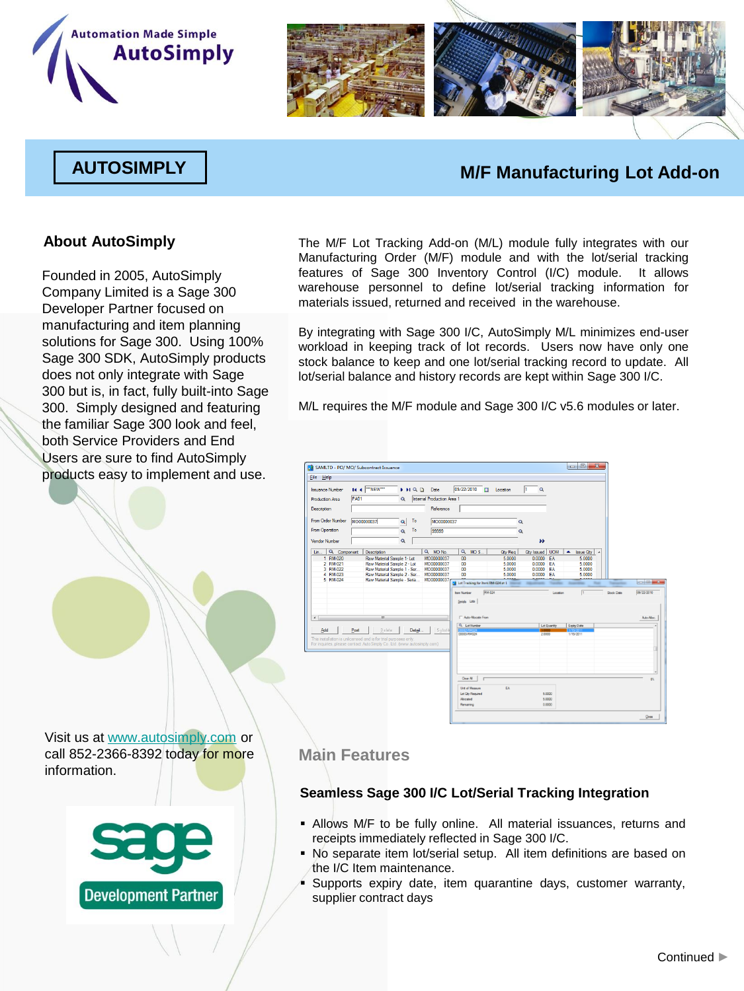



## **AUTOSIMPLY M/F Manufacturing Lot Add-on**

Founded in 2005, AutoSimply Company Limited is a Sage 300 Developer Partner focused on manufacturing and item planning solutions for Sage 300. Using 100% Sage 300 SDK, AutoSimply products does not only integrate with Sage 300 but is, in fact, fully built-into Sage 300. Simply designed and featuring the familiar Sage 300 look and feel, both Service Providers and End Users are sure to find AutoSimply products easy to implement and use.

**About AutoSimply** The M/F Lot Tracking Add-on (M/L) module fully integrates with our Manufacturing Order (M/F) module and with the lot/serial tracking features of Sage 300 Inventory Control (I/C) module. It allows warehouse personnel to define lot/serial tracking information for materials issued, returned and received in the warehouse.

> By integrating with Sage 300 I/C, AutoSimply M/L minimizes end-user workload in keeping track of lot records. Users now have only one stock balance to keep and one lot/serial tracking record to update. All lot/serial balance and history records are kept within Sage 300 I/C.

M/L requires the M/F module and Sage 300 I/C v5.6 modules or later.



Visit us at [www.autosimply.com](http://www.autosimply.com/) or call 852-2366-8392 today for more information.



### **Main Features**

### **Seamless Sage 300 I/C Lot/Serial Tracking Integration**

- Allows M/F to be fully online. All material issuances, returns and receipts immediately reflected in Sage 300 I/C.
- No separate item lot/serial setup. All item definitions are based on the I/C Item maintenance.
- Supports expiry date, item quarantine days, customer warranty, supplier contract days